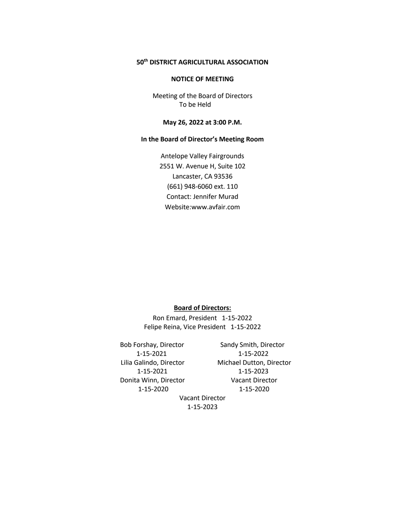# **50th DISTRICT AGRICULTURAL ASSOCIATION**

#### **NOTICE OF MEETING**

Meeting of the Board of Directors To be Held

### **May 26, 2022 at 3:00 P.M.**

# **In the Board of Director's Meeting Room**

Antelope Valley Fairgrounds 2551 W. Avenue H, Suite 102 Lancaster, CA 93536 (661) 948-6060 ext. 110 Contact: Jennifer Murad Website:www.avfair.com

# **Board of Directors:**

Ron Emard, President 1-15-2022 Felipe Reina, Vice President 1-15-2022

Bob Forshay, Director Sandy Smith, Director Donita Winn, Director Vacant Director

 1-15-2021 1-15-2022 Lilia Galindo, Director Michael Dutton, Director 1-15-2021 1-15-2023 1-15-2020 1-15-2020

Vacant Director 1-15-2023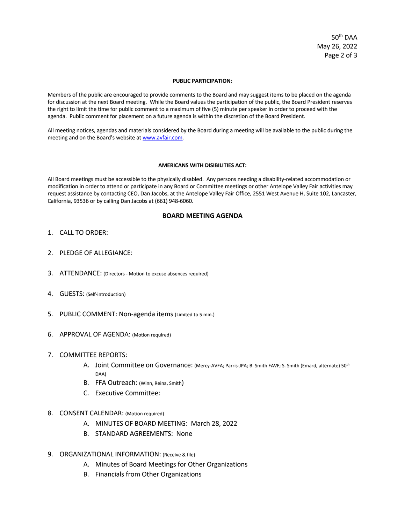50th DAA May 26, 2022 Page 2 of 3

#### **PUBLIC PARTICIPATION:**

Members of the public are encouraged to provide comments to the Board and may suggest items to be placed on the agenda for discussion at the next Board meeting. While the Board values the participation of the public, the Board President reserves the right to limit the time for public comment to a maximum of five (5) minute per speaker in order to proceed with the agenda. Public comment for placement on a future agenda is within the discretion of the Board President.

All meeting notices, agendas and materials considered by the Board during a meeting will be available to the public during the meeting and on the Board's website at www.avfair.com.

#### **AMERICANS WITH DISIBILITIES ACT:**

All Board meetings must be accessible to the physically disabled. Any persons needing a disability-related accommodation or modification in order to attend or participate in any Board or Committee meetings or other Antelope Valley Fair activities may request assistance by contacting CEO, Dan Jacobs, at the Antelope Valley Fair Office, 2551 West Avenue H, Suite 102, Lancaster, California, 93536 or by calling Dan Jacobs at (661) 948-6060.

### **BOARD MEETING AGENDA**

- 1. CALL TO ORDER:
- 2. PLEDGE OF ALLEGIANCE:
- 3. ATTENDANCE: (Directors Motion to excuse absences required)
- 4. GUESTS: (Self-introduction)
- 5. PUBLIC COMMENT: Non-agenda items (Limited to 5 min.)
- 6. APPROVAL OF AGENDA: (Motion required)
- 7. COMMITTEE REPORTS:
	- A. Joint Committee on Governance: (Mercy-AVFA; Parris-JPA; B. Smith FAVF; S. Smith (Emard, alternate) 50<sup>th</sup> DAA)
	- B. FFA Outreach: (Winn, Reina, Smith)
	- C. Executive Committee:
- 8. CONSENT CALENDAR: (Motion required)
	- A. MINUTES OF BOARD MEETING: March 28, 2022
	- B. STANDARD AGREEMENTS: None
- 9. ORGANIZATIONAL INFORMATION: (Receive & file)
	- A. Minutes of Board Meetings for Other Organizations
	- B. Financials from Other Organizations